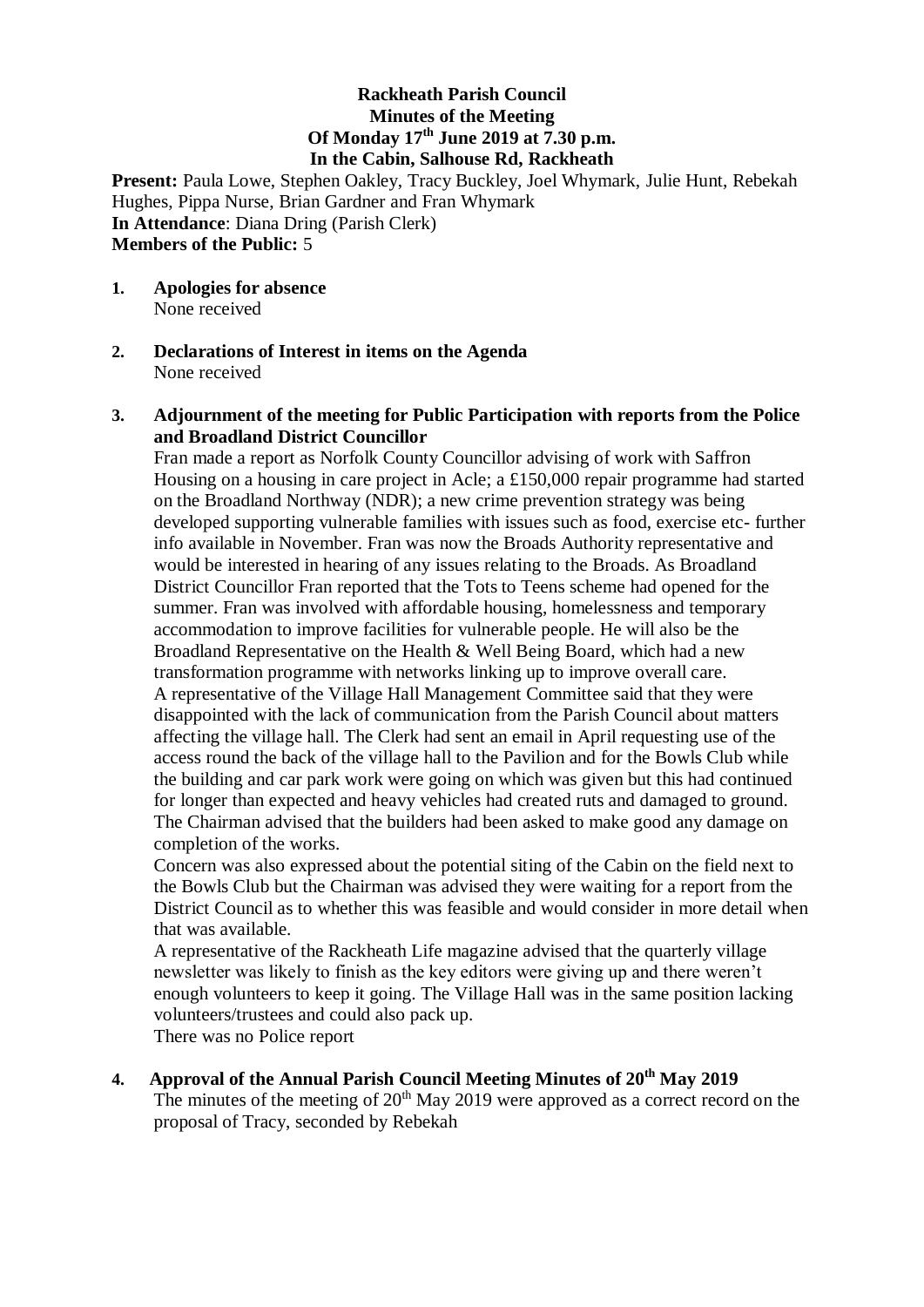### **Rackheath Parish Council Minutes of the Meeting Of Monday 17 th June 2019 at 7.30 p.m. In the Cabin, Salhouse Rd, Rackheath**

**Present:** Paula Lowe, Stephen Oakley, Tracy Buckley, Joel Whymark, Julie Hunt, Rebekah Hughes, Pippa Nurse, Brian Gardner and Fran Whymark **In Attendance**: Diana Dring (Parish Clerk) **Members of the Public:** 5

- **1. Apologies for absence**  None received
- **2. Declarations of Interest in items on the Agenda** None received

### **3. Adjournment of the meeting for Public Participation with reports from the Police and Broadland District Councillor**

Fran made a report as Norfolk County Councillor advising of work with Saffron Housing on a housing in care project in Acle; a £150,000 repair programme had started on the Broadland Northway (NDR); a new crime prevention strategy was being developed supporting vulnerable families with issues such as food, exercise etc- further info available in November. Fran was now the Broads Authority representative and would be interested in hearing of any issues relating to the Broads. As Broadland District Councillor Fran reported that the Tots to Teens scheme had opened for the summer. Fran was involved with affordable housing, homelessness and temporary accommodation to improve facilities for vulnerable people. He will also be the Broadland Representative on the Health & Well Being Board, which had a new transformation programme with networks linking up to improve overall care. A representative of the Village Hall Management Committee said that they were disappointed with the lack of communication from the Parish Council about matters affecting the village hall. The Clerk had sent an email in April requesting use of the access round the back of the village hall to the Pavilion and for the Bowls Club while the building and car park work were going on which was given but this had continued for longer than expected and heavy vehicles had created ruts and damaged to ground. The Chairman advised that the builders had been asked to make good any damage on completion of the works.

Concern was also expressed about the potential siting of the Cabin on the field next to the Bowls Club but the Chairman was advised they were waiting for a report from the District Council as to whether this was feasible and would consider in more detail when that was available.

A representative of the Rackheath Life magazine advised that the quarterly village newsletter was likely to finish as the key editors were giving up and there weren't enough volunteers to keep it going. The Village Hall was in the same position lacking volunteers/trustees and could also pack up.

There was no Police report

**4. Approval of the Annual Parish Council Meeting Minutes of 20th May 2019** The minutes of the meeting of  $20<sup>th</sup>$  May 2019 were approved as a correct record on the proposal of Tracy, seconded by Rebekah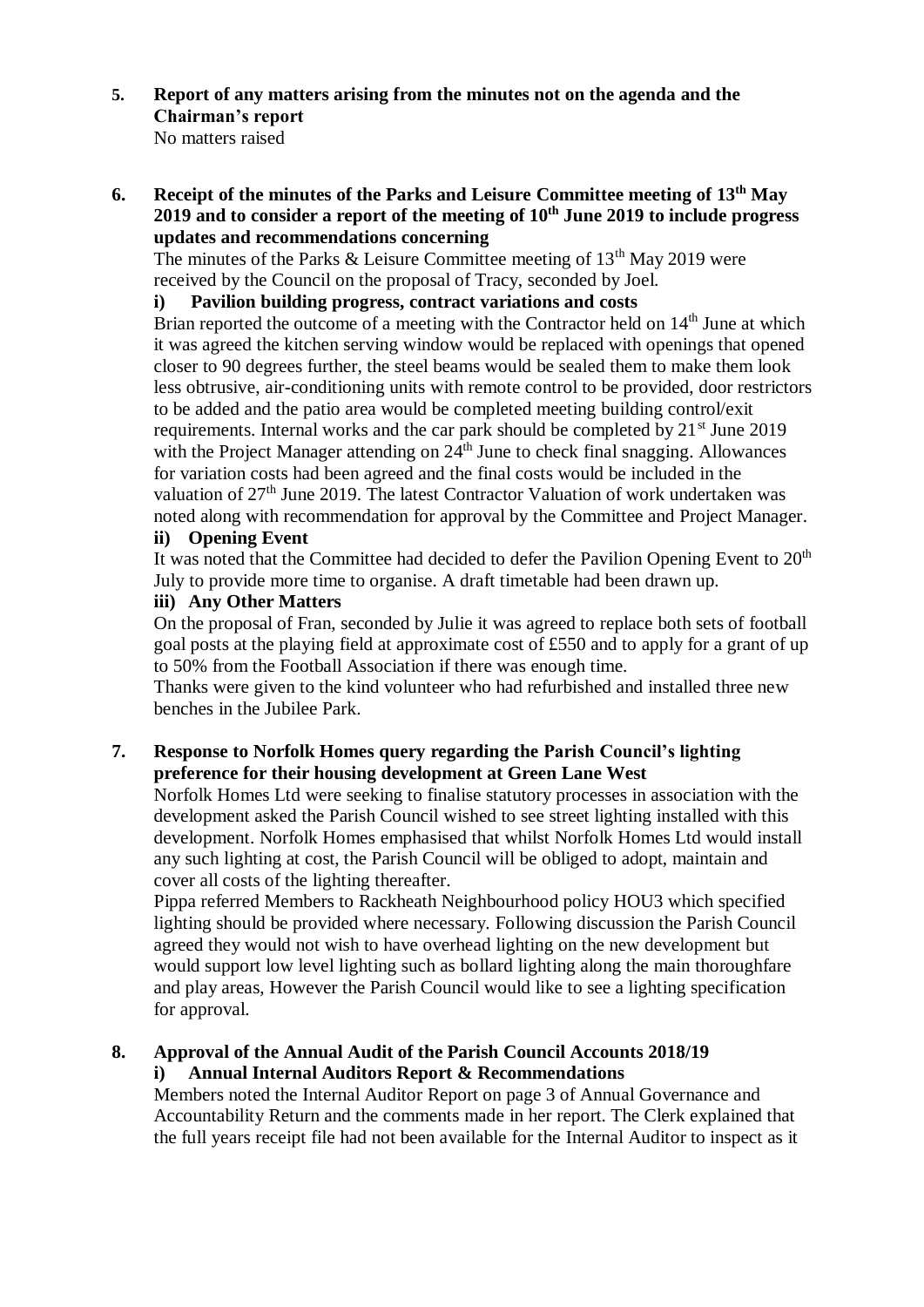**5. Report of any matters arising from the minutes not on the agenda and the Chairman's report**

No matters raised

**6. Receipt of the minutes of the Parks and Leisure Committee meeting of 13th May 2019 and to consider a report of the meeting of 10th June 2019 to include progress updates and recommendations concerning** 

The minutes of the Parks & Leisure Committee meeting of  $13<sup>th</sup>$  May 2019 were received by the Council on the proposal of Tracy, seconded by Joel.

## **i) Pavilion building progress, contract variations and costs**

Brian reported the outcome of a meeting with the Contractor held on  $14<sup>th</sup>$  June at which it was agreed the kitchen serving window would be replaced with openings that opened closer to 90 degrees further, the steel beams would be sealed them to make them look less obtrusive, air-conditioning units with remote control to be provided, door restrictors to be added and the patio area would be completed meeting building control/exit requirements. Internal works and the car park should be completed by  $21<sup>st</sup>$  June 2019 with the Project Manager attending on 24<sup>th</sup> June to check final snagging. Allowances for variation costs had been agreed and the final costs would be included in the valuation of 27<sup>th</sup> June 2019. The latest Contractor Valuation of work undertaken was noted along with recommendation for approval by the Committee and Project Manager. **ii) Opening Event**

It was noted that the Committee had decided to defer the Pavilion Opening Event to 20<sup>th</sup> July to provide more time to organise. A draft timetable had been drawn up.

# **iii) Any Other Matters**

On the proposal of Fran, seconded by Julie it was agreed to replace both sets of football goal posts at the playing field at approximate cost of £550 and to apply for a grant of up to 50% from the Football Association if there was enough time.

Thanks were given to the kind volunteer who had refurbished and installed three new benches in the Jubilee Park.

## **7. Response to Norfolk Homes query regarding the Parish Council's lighting preference for their housing development at Green Lane West**

Norfolk Homes Ltd were seeking to finalise statutory processes in association with the development asked the Parish Council wished to see street lighting installed with this development. Norfolk Homes emphasised that whilst Norfolk Homes Ltd would install any such lighting at cost, the Parish Council will be obliged to adopt, maintain and cover all costs of the lighting thereafter.

Pippa referred Members to Rackheath Neighbourhood policy HOU3 which specified lighting should be provided where necessary. Following discussion the Parish Council agreed they would not wish to have overhead lighting on the new development but would support low level lighting such as bollard lighting along the main thoroughfare and play areas, However the Parish Council would like to see a lighting specification for approval.

## **8. Approval of the Annual Audit of the Parish Council Accounts 2018/19 i) Annual Internal Auditors Report & Recommendations**

Members noted the Internal Auditor Report on page 3 of Annual Governance and Accountability Return and the comments made in her report. The Clerk explained that the full years receipt file had not been available for the Internal Auditor to inspect as it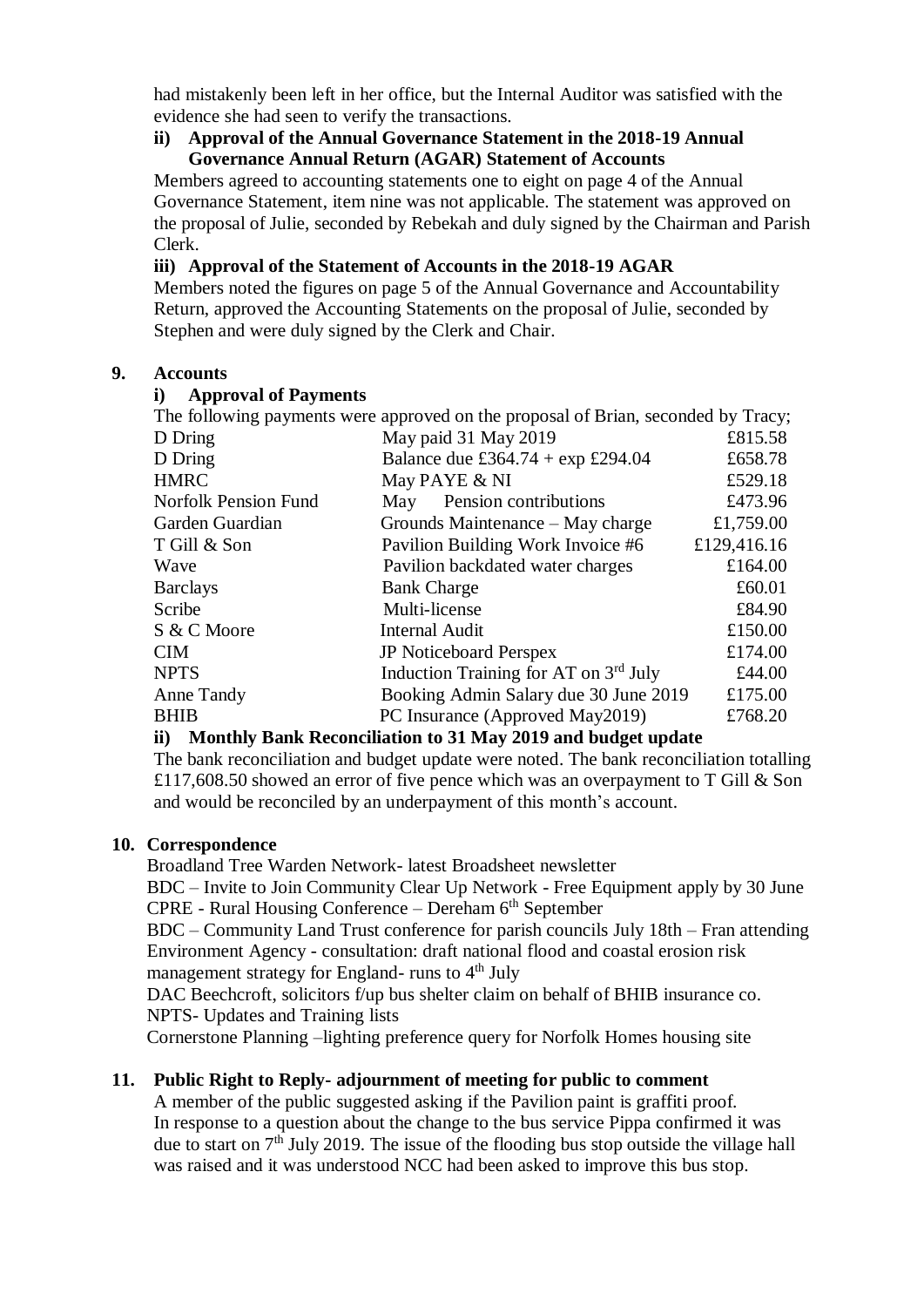had mistakenly been left in her office, but the Internal Auditor was satisfied with the evidence she had seen to verify the transactions.

#### **ii) Approval of the Annual Governance Statement in the 2018-19 Annual Governance Annual Return (AGAR) Statement of Accounts**

Members agreed to accounting statements one to eight on page 4 of the Annual Governance Statement, item nine was not applicable. The statement was approved on the proposal of Julie, seconded by Rebekah and duly signed by the Chairman and Parish Clerk.

## **iii) Approval of the Statement of Accounts in the 2018-19 AGAR**

Members noted the figures on page 5 of the Annual Governance and Accountability Return, approved the Accounting Statements on the proposal of Julie, seconded by Stephen and were duly signed by the Clerk and Chair.

## **9. Accounts**

### **i) Approval of Payments**

|                             | The following payments were approved on the proposal of Brian, seconded by Tracy; |             |
|-----------------------------|-----------------------------------------------------------------------------------|-------------|
| D Dring                     | May paid 31 May 2019                                                              | £815.58     |
| D Dring                     | Balance due £364.74 + $\exp$ £294.04                                              | £658.78     |
| <b>HMRC</b>                 | May PAYE & NI                                                                     | £529.18     |
| <b>Norfolk Pension Fund</b> | Pension contributions<br>May                                                      | £473.96     |
| Garden Guardian             | Grounds Maintenance – May charge                                                  | £1,759.00   |
| T Gill & Son                | Pavilion Building Work Invoice #6                                                 | £129,416.16 |
| Wave                        | Pavilion backdated water charges                                                  | £164.00     |
| <b>Barclays</b>             | <b>Bank Charge</b>                                                                | £60.01      |
| Scribe                      | Multi-license                                                                     | £84.90      |
| S & C Moore                 | <b>Internal Audit</b>                                                             | £150.00     |
| <b>CIM</b>                  | <b>JP</b> Noticeboard Perspex                                                     | £174.00     |
| <b>NPTS</b>                 | Induction Training for AT on 3 <sup>rd</sup> July                                 | £44.00      |
| Anne Tandy                  | Booking Admin Salary due 30 June 2019                                             | £175.00     |
| <b>BHIB</b>                 | PC Insurance (Approved May2019)                                                   | £768.20     |
|                             |                                                                                   |             |

## **ii) Monthly Bank Reconciliation to 31 May 2019 and budget update**

The bank reconciliation and budget update were noted. The bank reconciliation totalling £117,608.50 showed an error of five pence which was an overpayment to T Gill  $&$  Son and would be reconciled by an underpayment of this month's account.

## **10. Correspondence**

Broadland Tree Warden Network- latest Broadsheet newsletter

BDC – Invite to Join Community Clear Up Network - Free Equipment apply by 30 June  $\text{CPRE}$  - Rural Housing Conference – Dereham  $6^{\text{th}}$  September

BDC – Community Land Trust conference for parish councils July 18th – Fran attending Environment Agency - consultation: draft national flood and coastal erosion risk management strategy for England- runs to  $4<sup>th</sup>$  July

DAC Beechcroft, solicitors f/up bus shelter claim on behalf of BHIB insurance co. NPTS- Updates and Training lists

Cornerstone Planning –lighting preference query for Norfolk Homes housing site

## **11. Public Right to Reply- adjournment of meeting for public to comment**

A member of the public suggested asking if the Pavilion paint is graffiti proof. In response to a question about the change to the bus service Pippa confirmed it was due to start on  $7<sup>th</sup>$  July 2019. The issue of the flooding bus stop outside the village hall was raised and it was understood NCC had been asked to improve this bus stop.